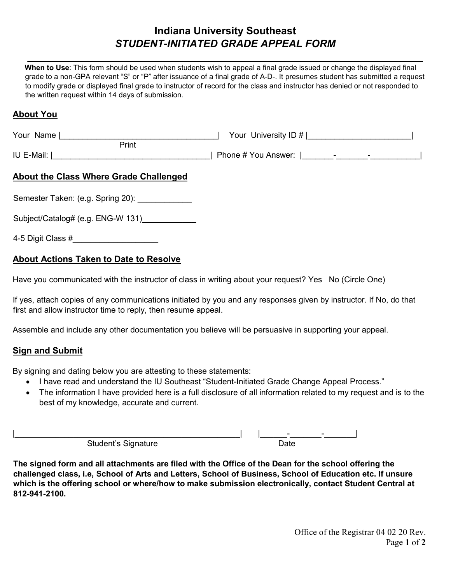# **Indiana University Southeast**  *STUDENT-INITIATED GRADE APPEAL FORM*

*\_\_\_\_\_\_\_\_\_\_\_\_\_\_\_\_\_\_\_\_\_\_\_\_\_\_\_\_\_\_\_\_\_\_\_\_\_\_\_\_\_\_\_\_\_\_\_\_\_\_\_\_\_\_\_\_\_\_\_\_\_\_\_\_\_\_\_\_\_*

**When to Use**: This form should be used when students wish to appeal a final grade issued or change the displayed final grade to a non-GPA relevant "S" or "P" after issuance of a final grade of A-D-. It presumes student has submitted a request to modify grade or displayed final grade to instructor of record for the class and instructor has denied or not responded to the written request within 14 days of submission.

### **About You**

| Your Name<br>Print                                            | Your University ID # |  |  |
|---------------------------------------------------------------|----------------------|--|--|
| IU E-Mail:  <br><b>About the Class Where Grade Challenged</b> |                      |  |  |
| Semester Taken: (e.g. Spring 20):                             |                      |  |  |

Subject/Catalog# (e.g. ENG-W 131)

4-5 Digit Class #\_\_\_\_\_\_\_\_\_\_\_\_\_\_\_\_\_\_\_

## **About Actions Taken to Date to Resolve**

Have you communicated with the instructor of class in writing about your request? Yes No (Circle One)

If yes, attach copies of any communications initiated by you and any responses given by instructor. If No, do that first and allow instructor time to reply, then resume appeal.

Assemble and include any other documentation you believe will be persuasive in supporting your appeal.

#### **Sign and Submit**

By signing and dating below you are attesting to these statements:

- I have read and understand the IU Southeast "Student-Initiated Grade Change Appeal Process."
- The information I have provided here is a full disclosure of all information related to my request and is to the best of my knowledge, accurate and current.

|                               | <u>. на п</u> |  |
|-------------------------------|---------------|--|
| $\sim$<br>Student's Signature |               |  |

**The signed form and all attachments are filed with the Office of the Dean for the school offering the challenged class, i.e, School of Arts and Letters, School of Business, School of Education etc. If unsure which is the offering school or where/how to make submission electronically, contact Student Central at 812-941-2100.**